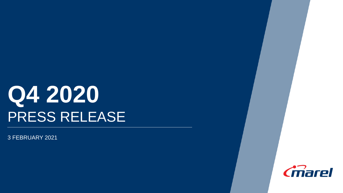# **Q4 2020** PRESS RELEASE

3 FEBRUARY 2021

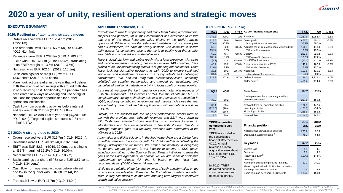

**2**

### **2020 a year of unity, resilient operations and strategic moves**

#### **EXECUTIVE SUMMARY**

#### **2020: Resilient profitability and strategic moves**

- Orders received were EUR 1,234.1m (2019: 1,222.1m).
- The order book was EUR 415.7m (3Q20: 434.3m, 4Q19: 414.4m).
- Revenues were EUR 1,237.8m (2019: 1,283.7m).
- EBIT\* was EUR 166.8m (2019: 173.4m), translating to an EBIT\* margin of 13.5% (2019: 13.5%).
- Net result was EUR 102.6m (2019: 110.1m).
- Basic earnings per share (EPS) were EUR 13.62 cents (2019: 15.33 cents).
- Marel took actions earlier in the year that will deliver EUR 8m in annualized savings with around EUR 4m in non-recurring cost. Additionally, the pandemic has accelerated new ways of working and use of digital solutions that provide opportunities for further operational efficiencies.
- Cash flow from operating activities before interest and tax was EUR 217.6m (2019: 189.8m).
- Net debt/EBITDA was 1.0x at year-end (3Q20: 0.5x, 4Q19: 0.4x). Targeted capital structure is 2-3x net debt/EBITDA.

#### **Q4 2020: A strong close to 2020**

- Orders received were EUR 319.7m (4Q19: 302.6m).
- Revenues were EUR 343.3m (4Q19: 320.1m).
- EBIT\* was EUR 52.3m (4Q19:  $32.0$ m), translating to an EBIT\* margin of 15.2% (4Q19: 10.0%).
- Net result was EUR 29.1m (4Q19: 10.2m).
- Basic earnings per share (EPS) were EUR 3.87 cents (4Q19: 1.34 cents).
- Cash flow from operating activities before interest and tax in the quarter was EUR 38.9m (4Q19: 60.2m).
- Free cash flow at EUR 17.7m (4Q19: 44.0m).

#### **Arni Oddur Thordarson, CEO:**

*"I would like to take this opportunity and thank team Marel, our customers, suppliers and partners, for all their commitment and dedication to ensure that one of the most important value chains in the world remains operational. While ensuring the safety and well-being of our employees and our customers, we have met every obstacle with optimism to secure daily access for consumers around the world to quality food that is safe, affordable and produced in a sustainable way.*

*Marel's digital platform and global reach with a local presence, with sales and service engineers servicing customers in over 140 countries, have proven to be key differentiating factors in supporting our customers. Team Marel took transformative decisions in early 2020 to ensure continued innovation and operational resilience in a highly volatile and challenging environment. We secured long-term sustainability-linked financing, solidified our supplier partnerships and ramped up inventories, and canceled all traditional tradeshow activity to focus solely on virtual events.*

*As a result, we close the fourth quarter on strong note, with revenues of EUR 343 million and EBIT in excess of 15%. We should note that TREIF's complementary cutting technology solutions and services are included in 4Q20, positively contributing to revenues and margins. We close the year with a healthy order book and strong financials with net debt at one times EBITDA.*

*Overall, we are satisfied with the full-year performance, orders were on par with the previous year, although revenues and EBIT were down by 4%. Cash flow remained strong, enabling us to continue to invest in infrastructure and take on acquisitions in line with strategy. Quality of earnings remained good with recurring revenues from aftermarket at the 40% level in 2020.*

*Automation and digital solutions in the food value chain are a driving force to further transform the industry, with COVID-19 further accelerating the strong underlying secular trends. We embed sustainability in everything we do and we are pioneers in our industry to commit to SDG goals, including committing to the Science Based Targets initiatives to meet the goals of the Paris Agreement. In addition we will add financial disclosure requirements on climate risk, that is based on the Task force recommendation (TCFD climate risk reporting).*

*While we are mindful of the fact that in times of such transformation on top of economic uncertainties, there can be fluctuations quarter-by-quarter, Marel is fully committed to its mid-term and long-term targets of continued growth and value creation."*

#### **KEY FIGURES** (EUR m)

| 4Q20           | 4Q19           |        | $\triangle$ YoY As per financial statements                                 | <b>FY20</b>    | <b>FY19</b>    | $\Delta$ YoY |
|----------------|----------------|--------|-----------------------------------------------------------------------------|----------------|----------------|--------------|
| 343.3          | 320.1          | 7.2%   | Revenues                                                                    | 1,237.8        | 1,283.7        | $-3.6%$      |
| 128.5<br>37.4% | 116.0<br>36.2% | 10.8%  | Gross profit<br>Gross profit as a % of revenues                             | 462.5<br>37.4% | 491.1<br>38.3% | $-5.8%$      |
| 52.3<br>15.2%  | 32.0<br>10.0%  | 63.4%  | Adjusted result from operations (Adjusted EBIT)<br>EBIT* as a % of revenues | 166.8<br>13.5% | 173.4<br>13.5% | $-3.8%$      |
| 62.3<br>18.1%  | 43.7<br>13.7%  |        | 42.6% EBITDA<br>EBITDA as a % of revenues                                   | 212.5<br>17.2% | 220.3<br>17.2% | $-3.5%$      |
| (9.2)          | (2.8)          | 228.6% | Non-IFRS adjustments                                                        | (17.1)         | (10.8)         | 58.3%        |
| 43.1<br>12.6%  | 29.2<br>9.1%   | 47.6%  | Result from operations (EBIT)<br>EBIT as a % of revenues                    | 149.7<br>12.1% | 162.6<br>12.7% | $-7.9%$      |
| 29.1<br>8.5%   | 10.2<br>3.2%   | 185.3% | Net result<br>Net result as a % of revenues                                 | 102.6<br>8.3%  | 110.1<br>8.6%  | $-6.8%$      |
| 319.7          | 302.6          | 5.7%   | Orders Received                                                             | 1,234.1        | 1,222.1        | 1.0%         |
|                |                |        | Order Book <sup>1)</sup>                                                    | 415.7          | 414.4          | 0.3%         |

| 4Q20                                             | 4Q19                             | Cash flows                                                                                               | <b>FY20</b>                            | <b>FY19</b>                       |
|--------------------------------------------------|----------------------------------|----------------------------------------------------------------------------------------------------------|----------------------------------------|-----------------------------------|
| 38.9                                             | 60.2                             | Cash generated from operating activities,<br>before interest & tax                                       | 217.6                                  | 189.8                             |
| 35.4<br>(125.6)<br>94.7<br>4.5                   | 53.4<br>(26.4)<br>(16.6)<br>10.4 | Net cash from (to) operating activities<br>Investing activities<br>Financing activities<br>Net cash flow | 182.6<br>(161.6)<br>(235.6)<br>(214.6) | 142.5<br>(54.2)<br>156.8<br>245.1 |
| <b>TREIF acquisition</b><br>completed 8 Oct      |                                  | <b>Financial position</b>                                                                                | 31/12<br>2020                          | 31/12<br>2019                     |
| 2020<br>TREIF is included in<br>the consolidated |                                  | Net Debt (Including Lease liabilities)<br>Operational working capital <sup>2)</sup>                      | 205.2<br>78.9                          | 97.6<br>64.0                      |

| illialiulai slaitilltiils III               |                                               |             |             |
|---------------------------------------------|-----------------------------------------------|-------------|-------------|
| 4Q20. Annual                                | <b>Key ratios</b>                             | <b>FY20</b> | <b>FY19</b> |
| revenues prior to<br>acquisition were about | Current ratio                                 | 1.1         | 1.5         |
| EUR 80m, with EUR                           | Quick ratio                                   | 0.7         | 1.2         |
| 13m EBITDA.                                 | Return on equity <sup>3)</sup>                | 10.7%       | 14.5%       |
|                                             | Leverage $4$                                  | 1.0         | 0.4         |
|                                             | Number of outstanding shares (millions)       | 752.2       | 760.2       |
| In 4Q20, TREIF                              | Market capitalization in EUR billion based on |             |             |
| delivered seasonally                        | exchange rate at end of period                | 3.9         | 3.5         |
| strong revenues and                         | Basic earnings per share in EUR cents         | 13.62       | 15.33       |

financial statements in

operational profits.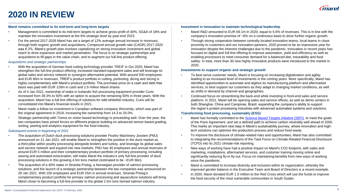

### **2020 IN REVIEW**

#### **Marel remains committed to its mid-term and long-term targets**

- Management is committed to its mid-term targets to achieve gross profit of 40%, SG&A of 18% and maintain the innovation investment at the 6% strategic level by year-end 2023.
- For the period 2017-2026 Marel has set a target of 12% average annual increase in revenues, through both organic growth and acquisitions. Compound annual growth rate (CAGR) 2017-2020 was 6.3%. Marel's growth plan involves capitalizing on strong innovation investment and global reach to drive expansion and market penetration. The focus is on strategic partnerships and acquisitions to fill gaps in the value chain, and to augment our full-line product offering.

#### *Acquisitions and strategic partnerships*

- With the acquisition of German food cutting technology provider TREIF in Oct 2020, Marel has strengthen the full-line product offering, increased standard equipment sales and will leverage its global sales and service network to synergize aftermarket potential. With around 500 employees and EUR 80m in revenues, TREIF's product portfolio in cutting, portioning, dicing and slicing is highly complementary with Marel's product portfolio. The purchase price on a cash and debt free basis was paid with EUR 128m in cash and 2.9 million Marel shares.
- As of 4 Jan 2021, ownership of stake in Icelandic fish processing equipment provider Curio increased from 39.3% to 50% with an option to acquire the remaining 50% in three years. With the acquisition, Marel has a full-line offering of solutions for wild whitefish industry. Curio will be consolidated into Marel's financial results in 2021.
- Marel made a follow-on investment in Canadian software company Worximity, which was part of the original agreement in 2019, increasing the ownership from 14.3 to 25.0%.
- Strategic partnership with Tomra on vision based technology is proceeding well. Over the year, the two companies have joined forces on different projects building on advanced sensor based grading, sorting, peeling and analytics equipment for the food industry.

#### *Subsequent events in beginning of 2021*

- The acquisition of Dutch duck processing solutions provider Poultry Machinery Joosten (PMJ) announced on 21 Jan 2021, will enable Marel to strengthen the position in the duck market as a third pillar within poultry processing alongside broilers and turkey, and leverage its global sales and service network and expand into new markets. PMJ has 40 employees and annual revenues of around EUR 5 million and their complementary product portfolio of primary processing, including waxing and automated evisceration, will make Marel the industry's only full-line provider of duck processing solutions in this growing 4.5m tons market (estimated to be ~EUR 6bn).
- The acquisition of a 40% stake in Stranda Prolog, a Norwegian provider of salmon processing solutions, and the launch of a strategic partnership between the two companies was announced on 29 Jan 2021. With 100 employees and EUR 25m in annual revenues, Stranda Prolog's complementary product portfolio for primary salmon processing and aquaculture solutions will bring Marel closer to becoming a full-line provider to the global 2.5m tons farmed salmon industry.

#### **Investment in innovation to maintain technological leadership**

- Marel R&D amounted to EUR 69.1m in 2020, equal to 5.6% of revenues. This is in line with the company's innovation promise of ~6% on a continuous basis to drive further organic growth.
- Through strong cooperation between centrally located innovation teams, local teams in close proximity to customers and our innovation partners, 2020 proved to be an impressive year for innovation despite the inherent challenges due to the pandemic. Innovation in recent years has focused on digital and full-line offering to improve automation, yield and efficiency as well as enabling processors to meet consumer demand for a balanced diet, traceability and food safety. In total, more than 30 new highly innovative products were introduced to the market in 2020.

#### **Investments to support organic and strategic growth**

- To best serve customer needs, Marel is focusing on increasing digitalization and agility, leading to an increased level of investments in the coming years. More specifically, Marel has identified opportunities to automate and digitize its manufacturing platform and aftermarket services, to best support our customers as they adapt to changing market conditions, as well as shifts in demand by channel and geographies.
- Continued focus on streamlining the back-end while investing in front-end sales and service platform. In 2021, Marel will be opening sales and service offices, as well as demo centers in both Shanghai, China and Campinas, Brazil, expanding the company's ability to support the region's protein processing industries with advanced automated systems and solutions.

#### **Transforming food processing, sustainably (ESG)**

- Marel has formally committed to the [Science Based Targets initiative \(SBTi\)](https://sciencebasedtargets.org/) to meet the goals of the Paris Agreement, and set a defined path to achieve carbon neutrality well ahead of 2050. This marks an important next step in Marel's sustainability journey, where innovation and hightech solutions can optimize the production process and reduce food waste.
- To improve the disclosure of climate-related risks and opportunities, Marel has also committed to integrating the recommendations of the Task Force on Climate-Related Financial Disclosure (TCFD) into its 2021 climate-risk reporting.
- New ways of working have had a positive impact on Marel's CO2 footprint, with sales and marketing, installations, aftermarket services, and customer training moving online and significantly reducing fly-in fly-out. Focus on maintaining benefits from new ways of working since the pandemic.
- Marel is committed to increase diversity and inclusion within its organization, whereby the improved gender balance in the Executive Team and Board of Directors is a recent example.
- In 2020, Marel donated EUR 1.0 million to the Red Cross which will use the funds to improve the food security of the most vulnerable communities in South Sudan.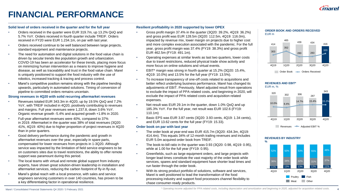

**4**

## **FINANCIAL PERFORMANCE**

#### **Solid level of orders received in the quarter and for the full year**

- Orders received in the quarter were EUR 319.7m, up 13.2% QoQ and 5.7% YoY. Orders received in fourth quarter include TREIF. Orders received in FY20 were EUR 1.234.1m, on par with last year.
- Orders received continue to be well balanced between large projects, standard equipment and maintenance projects.
- The need for automation and digital solutions in the food value chain is driven by secular trends like population growth and urbanization. COVID-19 has been an accelerator for these trends, placing more focus on minimizing human intervention as a means to improve hygiene and disease, as well as traceability and trust in the food value chain. Marel is uniquely positioned to support the food industry with the use of robotics, increased tracking & tracing and process control.
- Marel's competitive position remains strong with the pipeline trending upwards, particularly in automated solutions. Timing of conversion of pipeline to committed orders remains uncertain.

#### **Strong revenues in 4Q20 with solid recurring aftermarket revenues**

- Revenues totaled EUR 343.3m in 4Q20, up by 19.5% QoQ and 7.2% YoY, with TREIF included in 4Q20, positively contributing to revenues and margins. Full year revenues were 1,237.8, down 3.6% YoY. Organic revenue growth -5.4% and acquired growth +1.8% in 2020.
- Full-year aftermarket revenues were 40%, compared to 37% in 2019. Aftermarket in the quarter was 38% of total revenues (3Q20: 41%, 4Q19: 40%) due to higher proportion of project revenues in 4Q20 than in prior quarters.
- Good delivery performance during the pandemic and growth in aftermarket revenues over the year, especially in spare parts, compensated for lower revenues from projects in 1-3Q20. Although service was impacted by the limitation of field service engineers to be on customers sites due to travel restrictions, the ability to offer remote support was paramount during this period.
- The local teams with virtual and remote global support from industry experts, have shown great solution-driven leadership in installation and aftermarket services, reducing the carbon footprint of fly-in fly-out.
- Marel's global reach with a local presence, with sales and service engineers servicing customers in over 140 countries, has proven to be a key differentiating factor in operational resilience.

### **Resilient profitability in 2020 supported by lower OPEX**

- Gross profit margin 37.4% in the quarter (3Q20: 39.2%, 4Q19: 36.2%) and gross profit was EUR 128.5m (3Q20: 112.5m, 4Q19: 116.0m), impacted by revenue mix, lower margin on projects due to higher cost and more complex execution associated with the pandemic. For the full year, gross profit margin was 37.4% (FY19: 38.3%) and gross profit EUR 462.5m (FY19: 491.1m).
- Operating expenses at similar levels as last two quarters, lower costs due to travel restrictions, reduced physical trade show activity and more focus on online solutions and virtual events.
- EBIT\* margin was strong in fourth quarter at 15.2% (3Q20: 15.4%, 4Q19: 10.0%) and 13.5% for the full year (FY19: 13.5%).
- To increase transparency of one-off costs related to acquisitions and better reflect underlying business performance, Marel has changed its adjustments of EBIT. Previously, Marel adjusted result from operations to exclude the impact of PPA related costs, and beginning in 2020, will exclude the impact of PPA related costs and acquisition related expenses.
- Net result was EUR 29.1m in the quarter, down 1.0% QoQ and up 185.3% YoY. For the full year, net result was EUR 102.6 (FY19: 110.1m)
- Basic EPS was EUR 3.87 cents (3Q20: 3.93 cents, 4Q19: 1.34 cents), and EUR 13.62 cents for the full year (FY19: 15.33).

#### **Order book on par with last year**

- The order book at year-end was EUR 415.7m (3Q20: 434.3m, 4Q19: 414.4m). This equals 34% of 12-month trailing revenues and includes EUR 5.0m acquired order book from TREIF.
- The book-to-bill ratio in the quarter was 0.93 (3Q20: 0.98, 4Q19: 0.95), while at 1.00 for the full year (FY19: 0.95).
- Greenfields, such as large equipment orders, and large projects with longer lead times constitute the vast majority of the order book while services, spares and standard equipment have shorter lead times and run faster through the order book.
- With its strong product portfolio of solutions, software and services, Marel is well positioned to lead the transformation of the food processing industry and support food processors channel flexibility to chase consumer-ready products.



#### **REVENUES AND EBIT\*** EUR m, %



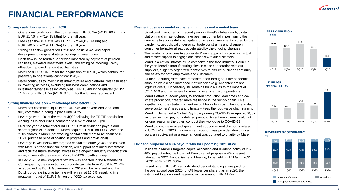

# **FINANCIAL PERFORMANCE**

#### **Strong cash flow generation in 2020**

- Operational cash flow in the quarter was EUR 38.9m (4Q19: 60.2m) and EUR 217.6m (FY19: 189.8m) for the full year.
- Free cash flow in 4Q20 was EUR 17.7m (4Q19: 44.0m) and EUR 140.5m (FY19: 115.3m) for the full year.
- Strong cash flow generation FY20 and positive working capital development, despite strategic buildup on inventories.
- Cash flow in the fourth quarter was impacted by payment of pension liabilities, elevated investment levels, and timing of invoicing. Partly offset by improved net contract liabilities.
- Marel paid EUR 107.0m for the acquisition of TREIF, which contributed positively to operational cash flow in 4Q20.
- Marel continues to invest in its infrastructure and platform. Net cash used in investing activities, excluding business combinations and investments/loans in associates, was EUR 18.4m in the quarter (4Q19: 11.5m), or EUR 51.7m (FY19: 37.5m) for the full year equivalent.

#### **Strong financial position with leverage ratio below 1.0x**

- Marel has committed liquidity of EUR 646.4m at year-end 2020 and fully committed funding in place until 2025.
- Leverage was 1.0x at the end of 4Q20 following the TREIF acquisition closing in October 2020, compared to 0.5x at end of 3Q20.
- Over the year, a total of around EUR 100m in dividends payout and share buybacks. In addition, Marel acquired TREIF for EUR 128m and 2.9m shares in Marel (net working capital settlement to be finalized in 1H21, purchase price allocation in progress and provisional).
- Leverage is well below the targeted capital structure (2-3x) and coupled with Marel's strong financial position, will support continued investment and facilitate future strategic moves in the ongoing industry consolidation wave, in line with the company´s 2017-2026 growth strategy.
- In Dec 2020, a new corporate tax law was enacted in the Netherlands. Consequently, the reduction in corporate tax rate from 25.0% to 21.7% as approved by Dutch Government in 2019 will be reversed and the Dutch corporate income tax rate will remain at 25.0%, resulting in a negative impact of EUR 5.7m on the 4Q20 tax expense.

#### **Resilient business model in challenging times and a united team**

- Significant investments in recent years in Marel's global reach, digital platform and infrastructure, have been instrumental in positioning the company to successfully navigate a business environment colored by the pandemic, geopolitical uncertainty, trade constraints and change in consumer behavior already accelerated by the ongoing changes.
- The pandemic continues to accelerate Marel's approach in providing virtual and remote support to engage and connect with our customers.
- Marel is a critical infrastructure company in the food industry. Earlier in the year, Marel's manufacturing sites in close cooperation with our suppliers, diligently organized themselves to ensure business continuity and safety for both employees and customers.
- All manufacturing sites have remained open throughout the pandemic, although we did see increased inefficiencies (e.g. absenteeism and logistics costs). Uncertainty still remains for 2021 as to the impact of COVID-19 and the severe lockdowns on efficiency of operations.
- Marel's effort in recent years, to shorten production lead times and colocate production, created more resilience in the supply chain. This together with the strategic inventory build-up allows us to be more agile, serve customers' needs and ultimately keep the food value chain running.
- Marel implemented a Global Pay Policy during COVID-19 in April 2020, to secure minimum pay for a defined period of time if employees could not, for one reason or the other, conduct their work due to COVID-19.
- Marel did not make use of government support or rent discounts related to COVID-19 in 2020. If government support was provided due to local laws, an equivalent or greater amount was donated to charity by Marel.

#### **Dividend proposal of 40% payout ratio for upcoming 2021 AGM**

- In line with Marel's targeted capital allocation and dividend policy of 20- 40% payout ratio, the Board of Directors will propose a 40% payout ratio at the 2021 Annual General Meeting, to be held on 17 March 2021 (2020: 40%, 2019: 30%).
- Based on a EUR 5.45 cents dividend per outstanding share paid for the operational year 2020, or 6% lower per share than in 2020, the estimated total dividend payment will be around EUR 41.0m.



#### **LEVERAGE** Net debt/EBITDA



4Q19 1Q20 2Q20 3Q20 4Q20

#### **REVENUES BY GEOGRAPHY**

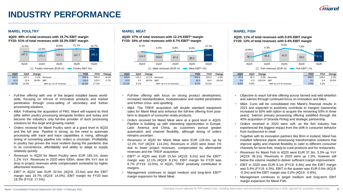## **INDUSTRY PERFORMANCE**

#### **MAREL POULTRY MAREL MEAT MAREL FISH**

**4Q20: 48% of total revenues with 19.7% EBIT margin FY20: 51% of total revenues with 18.3% EBIT margin**



- *Full-line offering* with one of the largest installed bases worldwide, focusing on roll-out of innovative products and market penetration through cross-selling of secondary and further processing solutions.
- *M&A:* Following the acquisition of PMJ, Marel will expand its third pillar within poultry processing alongside broilers and turkey and become the industry's only full-line provider of duck processing solutions for this large and growing market.
- *Orders received* for Marel Poultry were at a good level in 4Q20 and the full year. Pipeline is strong, as the need to automate processing with track and trace capabilities is rising, although timing of converting pipeline into orders is uncertain. Profitability in poultry has proven the most resilient during the pandemic due to its convenience, affordability and ability to adapt to supply relatively quickly.
- *Revenues* in 4Q20 for Marel Poultry were EUR 165.1m, down 1.2% YoY. Revenues in 2020 were 635m, down 8% YoY due to drop in project revenues while compensated somewhat by higher aftermarket revenues.
- *EBIT in 4Q20* was EUR 32.5m (4Q19: 23.4m) and the EBIT margin was 19.7% (4Q19: 14.0%). EBIT margin for FY20 was 18.3% (FY19: 17.5%).

**4Q20: 37% of total revenues with 12.1% EBIT\* margin FY20: 34% of total revenues with 8.7% EBIT\* margin**



• *Full-line offering* with focus on strong product development, increased standardization, modularization and market penetration and further cross- and upselling.

12.1% 8.1% EBIT\* as a % of revenues 8.7% 10.5%

- *M&A*: The TREIF acquisition will double standard equipment sales for Marel Meat and enhance the full-line offering from postfarm to dispatch of consumer-ready products.
- *Orders received* for Marel Meat were at a good level in 4Q20. Pipeline is building up with interesting opportunities in Europe, Latin America and China, as customers pursue greater automation and channel flexibility, although timing of orders remains uncertain.
- *Revenues* in 4Q20 for Marel Meat were EUR 128.0m, up by 12.1% YoY (4Q19: 114.2m). Revenues in 2020 were down 1% due to lower project revenues, compensated by aftermarket revenues and the TREIF acquisition.
- *EBIT\** in 4Q20 was EUR 15.5m (4Q19: 9.2m) and the EBIT\* margin was 12.1% (4Q19: 8.1%). EBIT margin for FY20 was 8.7% (FY19: 10.5%). In 4Q20, TREIF positively contributed to margins.
- Management continues to target medium and long-term EBIT\* margin expansion for Marel Meat.



| 4020 | 4Q19    | Change |                         | <b>FY20</b> | <b>FY19</b> | Change |
|------|---------|--------|-------------------------|-------------|-------------|--------|
| 37.3 | 36.1    | 3.3%   | Revenues                | 150.7       | 148.5       | 1.5%   |
| 0.0  | $-0.3$  | 100.0% | EBIT                    | 8.1         | 6.4         | 26.6%  |
| 0.0% | $-0.8%$ |        | EBIT as a % of revenues | 5.4%        | 4.3%        |        |

- *Objective to reach full-line offering* across farmed and wild whitefish and salmon through continued focus on innovation and M&A.
- *M&A:* Curio will be consolidated into Marel's financial results in 2021 and expected to positively contribute to margins (ownership increased to 50% with option to acquire the remaining 50% in three years). Salmon primary processing offering solidified through the 40% acquisition of Stranda Prolog and strategic partnership.
- *Orders received* in 2020 were soft, as the fish industry has experienced the biggest impact from the shift in consumer behavior from foodservice to retail.
- Together with its innovation partners like Brim in Iceland, Marel has installed reference plants showcasing transformative solutions that improve agility and channel flexibility to cater to different consumer channels for bone-free, ready-to-cook products and for restaurants.
- *Revenues* for Marel Fish in 4Q20 were EUR 37.3m, 3.3% up YoY (4Q19: 36.1m). Revenues in 2020 were up 1.5%, however still below the volume needed to deliver sufficient margin improvement.
- *EBIT* in 2020 was EUR 8.1m (FY19: 6.4m) and the EBIT margin was 5.4% (FY19: 4.3%). EBIT in the quarter was EUR 0.0m (4Q19: -0.3m) and the EBIT margin was 0.0% (4Q19: -0.8%).
- Management continues to target medium and long-term EBIT margin expansion for Marel Fish.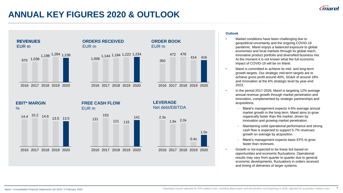### **ANNUAL KEY FIGURES 2020 & OUTLOOK**



### **Outlook**

- Market conditions have been challenging due to geopolitical uncertainty and the ongoing COVID-19 pandemic. Marel enjoys a balanced exposure to global economies and local markets through its global reach, innovative product portfolio and diversified business mix. At the moment it is not known what the full economic impact of COVID-19 will be on Marel.
- Marel is committed to achieve its mid- and long-term growth targets. Our strategic mid-term targets are to achieve gross profit around 40%, SG&A of around 18% and Innovation at the 6% strategic level by year-end 2023.
- In the period 2017-2026, Marel is targeting 12% average annual revenue growth through market penetration and innovation, complemented by strategic partnerships and acquisitions.
	- Marel's management expects 4-6% average annual market growth in the long term. Marel aims to grow organically faster than the market, driven by innovation and growing market penetration.
	- Maintaining solid operational performance and strong cash flow is expected to support 5-7% revenues growth on average by acquisition.
	- Marel's management expects basic EPS to grow faster than revenues.
- Growth is not expected to be linear but based on opportunities and economic fluctuations. Operational results may vary from quarter to quarter due to general economic developments, fluctuations in orders received and timing of deliveries of larger systems.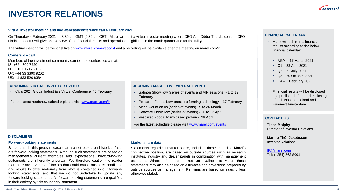## **INVESTOR RELATIONS**

#### **Virtual investor meeting and live webcast/conference call 4 February 2021**

On Thursday 4 February 2021, at 8:30 am GMT (9:30 am CET), Marel will host a virtual investor meeting where CEO Arni Oddur Thordarson and CFO Linda Jonsdottir will give an overview of the financial results and operational highlights in the fourth quarter and for the full year.

The virtual meeting will be webcast live on [www.marel.com/webcast](http://www.marel.com/webcast) and a recording will be available after the meeting on marel.com/ir.

#### **Conference call**

Members of the investment community can join the conference call at: IS: +354 800 7520 NL: +31 10 712 9162 UK: +44 33 3300 9262 US: +1 833 526 8384

#### **UPCOMING VIRTUAL INVESTOR EVENTS**

• Citi's 2021 Global Industrials Virtual Conference, 18 February

For the latest roadshow calendar please visit [www.marel.com/ir](http://www.marel.com/ir)

### **UPCOMING MAREL LIVE VIRTUAL EVENTS**

- Salmon ShowHow (series of events and VIP sessions) 1 to 12 February
- Prepared Foods, Low-pressure forming technology 17 February
- Meat, Count on us (series of events) 9 to 26 March
- Software KnowHow (series of events) 20 to 22 April
- Prepared Foods, Plant-based protein 28 April

For the latest schedule please visit [www.marel.com/events](http://www.marel.com/events)

#### **DISCLAIMERS**

#### **Forward-looking statements**

Statements in this press release that are not based on historical facts are forward-looking statements. Although such statements are based on management's current estimates and expectations, forward-looking statements are inherently uncertain. We therefore caution the reader that there are a variety of factors that could cause business conditions and results to differ materially from what is contained in our forwardlooking statements, and that we do not undertake to update any forward-looking statements. All forward-looking statements are qualified in their entirety by this cautionary statement.

#### **Market share data**

Statements regarding market share, including those regarding Marel's competitive position, are based on outside sources such as research institutes, industry and dealer panels in combination with management estimates. Where information is not yet available to Marel, those statements may also be based on estimates and projections prepared by outside sources or management. Rankings are based on sales unless otherwise stated.

### **FINANCIAL CALENDAR**

- Marel will publish its financial results according to the below financial calendar:
	- $\blacksquare$  AGM 17 March 2021
	- Q1 28 April 2021
	- $\sim$  Q2 21 July 2021
	- Q3 20 October 2021
	- $\bullet$  Q4 2 February 2022
- Financial results will be disclosed and published after market closing of both Nasdaq Iceland and Euronext Amsterdam.

#### **CONTACT US**

**Tinna Molphy** Director of Investor Relations

**Marinó Thór Jakobsson** Investor Relations

[IR@marel.com](mailto:IR@marel.com) Tel: (+354) 563 8001